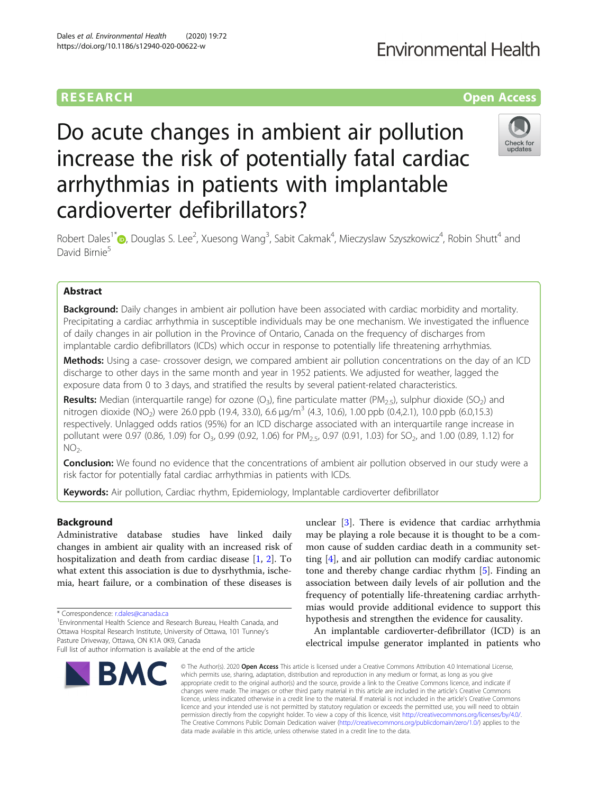# **Environmental Health**

# **RESEARCH CHE Open Access**

# Do acute changes in ambient air pollution increase the risk of potentially fatal cardiac arrhythmias in patients with implantable cardioverter defibrillators?



Robert Dales<sup>1\*</sup>®[,](http://orcid.org/0000-0002-6031-4576) Douglas S. Lee<sup>2</sup>, Xuesong Wang<sup>3</sup>, Sabit Cakmak<sup>4</sup>, Mieczyslaw Szyszkowicz<sup>4</sup>, Robin Shutt<sup>4</sup> and David Birnie<sup>5</sup>

# Abstract

**Background:** Daily changes in ambient air pollution have been associated with cardiac morbidity and mortality. Precipitating a cardiac arrhythmia in susceptible individuals may be one mechanism. We investigated the influence of daily changes in air pollution in the Province of Ontario, Canada on the frequency of discharges from implantable cardio defibrillators (ICDs) which occur in response to potentially life threatening arrhythmias.

Methods: Using a case- crossover design, we compared ambient air pollution concentrations on the day of an ICD discharge to other days in the same month and year in 1952 patients. We adjusted for weather, lagged the exposure data from 0 to 3 days, and stratified the results by several patient-related characteristics.

**Results:** Median (interquartile range) for ozone (O<sub>3</sub>), fine particulate matter (PM<sub>2.5</sub>), sulphur dioxide (SO<sub>2</sub>) and nitrogen dioxide (NO<sub>2</sub>) were 26.0 ppb (19.4, 33.0), 6.6 µg/m<sup>3</sup> (4.3, 10.6), 1.00 ppb (0.4,2.1), 10.0 ppb (6.0,15.3) respectively. Unlagged odds ratios (95%) for an ICD discharge associated with an interquartile range increase in pollutant were 0.97 (0.86, 1.09) for O<sub>3</sub>, 0.99 (0.92, 1.06) for PM<sub>2.5</sub>, 0.97 (0.91, 1.03) for SO<sub>2</sub>, and 1.00 (0.89, 1.12) for  $NO<sub>2</sub>$ .

**Conclusion:** We found no evidence that the concentrations of ambient air pollution observed in our study were a risk factor for potentially fatal cardiac arrhythmias in patients with ICDs.

Keywords: Air pollution, Cardiac rhythm, Epidemiology, Implantable cardioverter defibrillator

# Background

Administrative database studies have linked daily changes in ambient air quality with an increased risk of hospitalization and death from cardiac disease [[1,](#page-9-0) [2](#page-9-0)]. To what extent this association is due to dysrhythmia, ischemia, heart failure, or a combination of these diseases is

Environmental Health Science and Research Bureau, Health Canada, and Ottawa Hospital Research Institute, University of Ottawa, 101 Tunney's Pasture Driveway, Ottawa, ON K1A 0K9, Canada Full list of author information is available at the end of the article

unclear [[3\]](#page-9-0). There is evidence that cardiac arrhythmia may be playing a role because it is thought to be a common cause of sudden cardiac death in a community setting [\[4\]](#page-9-0), and air pollution can modify cardiac autonomic tone and thereby change cardiac rhythm [\[5](#page-9-0)]. Finding an association between daily levels of air pollution and the frequency of potentially life-threatening cardiac arrhythmias would provide additional evidence to support this hypothesis and strengthen the evidence for causality.

An implantable cardioverter-defibrillator (ICD) is an electrical impulse generator implanted in patients who

© The Author(s), 2020 **Open Access** This article is licensed under a Creative Commons Attribution 4.0 International License, which permits use, sharing, adaptation, distribution and reproduction in any medium or format, as long as you give appropriate credit to the original author(s) and the source, provide a link to the Creative Commons licence, and indicate if changes were made. The images or other third party material in this article are included in the article's Creative Commons licence, unless indicated otherwise in a credit line to the material. If material is not included in the article's Creative Commons licence and your intended use is not permitted by statutory regulation or exceeds the permitted use, you will need to obtain permission directly from the copyright holder. To view a copy of this licence, visit [http://creativecommons.org/licenses/by/4.0/.](http://creativecommons.org/licenses/by/4.0/) The Creative Commons Public Domain Dedication waiver [\(http://creativecommons.org/publicdomain/zero/1.0/](http://creativecommons.org/publicdomain/zero/1.0/)) applies to the data made available in this article, unless otherwise stated in a credit line to the data.

<sup>\*</sup> Correspondence: [r.dales@canada.ca](mailto:r.dales@canada.ca) <sup>1</sup>

BMC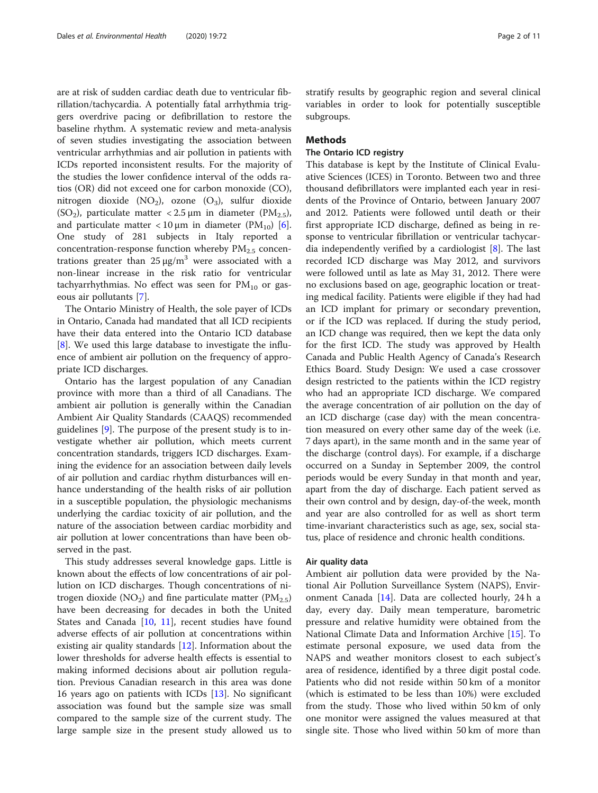are at risk of sudden cardiac death due to ventricular fibrillation/tachycardia. A potentially fatal arrhythmia triggers overdrive pacing or defibrillation to restore the baseline rhythm. A systematic review and meta-analysis of seven studies investigating the association between ventricular arrhythmias and air pollution in patients with ICDs reported inconsistent results. For the majority of the studies the lower confidence interval of the odds ratios (OR) did not exceed one for carbon monoxide (CO), nitrogen dioxide  $(NO<sub>2</sub>)$ , ozone  $(O<sub>3</sub>)$ , sulfur dioxide (SO<sub>2</sub>), particulate matter < 2.5  $\mu$ m in diameter (PM<sub>2.5</sub>), and particulate matter  $\langle 10 \mu m \rangle$  in diameter (PM<sub>10</sub>) [\[6](#page-9-0)]. One study of 281 subjects in Italy reported a concentration-response function whereby  $PM_{2.5}$  concentrations greater than  $25 \mu g/m^3$  were associated with a non-linear increase in the risk ratio for ventricular tachyarrhythmias. No effect was seen for  $PM_{10}$  or gaseous air pollutants [[7\]](#page-9-0).

The Ontario Ministry of Health, the sole payer of ICDs in Ontario, Canada had mandated that all ICD recipients have their data entered into the Ontario ICD database [[8\]](#page-9-0). We used this large database to investigate the influence of ambient air pollution on the frequency of appropriate ICD discharges.

Ontario has the largest population of any Canadian province with more than a third of all Canadians. The ambient air pollution is generally within the Canadian Ambient Air Quality Standards (CAAQS) recommended guidelines [[9\]](#page-9-0). The purpose of the present study is to investigate whether air pollution, which meets current concentration standards, triggers ICD discharges. Examining the evidence for an association between daily levels of air pollution and cardiac rhythm disturbances will enhance understanding of the health risks of air pollution in a susceptible population, the physiologic mechanisms underlying the cardiac toxicity of air pollution, and the nature of the association between cardiac morbidity and air pollution at lower concentrations than have been observed in the past.

This study addresses several knowledge gaps. Little is known about the effects of low concentrations of air pollution on ICD discharges. Though concentrations of nitrogen dioxide (NO<sub>2</sub>) and fine particulate matter (PM<sub>2.5</sub>) have been decreasing for decades in both the United States and Canada [\[10](#page-9-0), [11](#page-9-0)], recent studies have found adverse effects of air pollution at concentrations within existing air quality standards [[12\]](#page-9-0). Information about the lower thresholds for adverse health effects is essential to making informed decisions about air pollution regulation. Previous Canadian research in this area was done 16 years ago on patients with ICDs [\[13](#page-9-0)]. No significant association was found but the sample size was small compared to the sample size of the current study. The large sample size in the present study allowed us to stratify results by geographic region and several clinical variables in order to look for potentially susceptible subgroups.

### Methods

# The Ontario ICD registry

This database is kept by the Institute of Clinical Evaluative Sciences (ICES) in Toronto. Between two and three thousand defibrillators were implanted each year in residents of the Province of Ontario, between January 2007 and 2012. Patients were followed until death or their first appropriate ICD discharge, defined as being in response to ventricular fibrillation or ventricular tachycardia independently verified by a cardiologist [[8\]](#page-9-0). The last recorded ICD discharge was May 2012, and survivors were followed until as late as May 31, 2012. There were no exclusions based on age, geographic location or treating medical facility. Patients were eligible if they had had an ICD implant for primary or secondary prevention, or if the ICD was replaced. If during the study period, an ICD change was required, then we kept the data only for the first ICD. The study was approved by Health Canada and Public Health Agency of Canada's Research Ethics Board. Study Design: We used a case crossover design restricted to the patients within the ICD registry who had an appropriate ICD discharge. We compared the average concentration of air pollution on the day of an ICD discharge (case day) with the mean concentration measured on every other same day of the week (i.e. 7 days apart), in the same month and in the same year of the discharge (control days). For example, if a discharge occurred on a Sunday in September 2009, the control periods would be every Sunday in that month and year, apart from the day of discharge. Each patient served as their own control and by design, day-of-the week, month and year are also controlled for as well as short term time-invariant characteristics such as age, sex, social status, place of residence and chronic health conditions.

#### Air quality data

Ambient air pollution data were provided by the National Air Pollution Surveillance System (NAPS), Environment Canada [[14\]](#page-9-0). Data are collected hourly, 24 h a day, every day. Daily mean temperature, barometric pressure and relative humidity were obtained from the National Climate Data and Information Archive [[15\]](#page-9-0). To estimate personal exposure, we used data from the NAPS and weather monitors closest to each subject's area of residence, identified by a three digit postal code. Patients who did not reside within 50 km of a monitor (which is estimated to be less than 10%) were excluded from the study. Those who lived within 50 km of only one monitor were assigned the values measured at that single site. Those who lived within 50 km of more than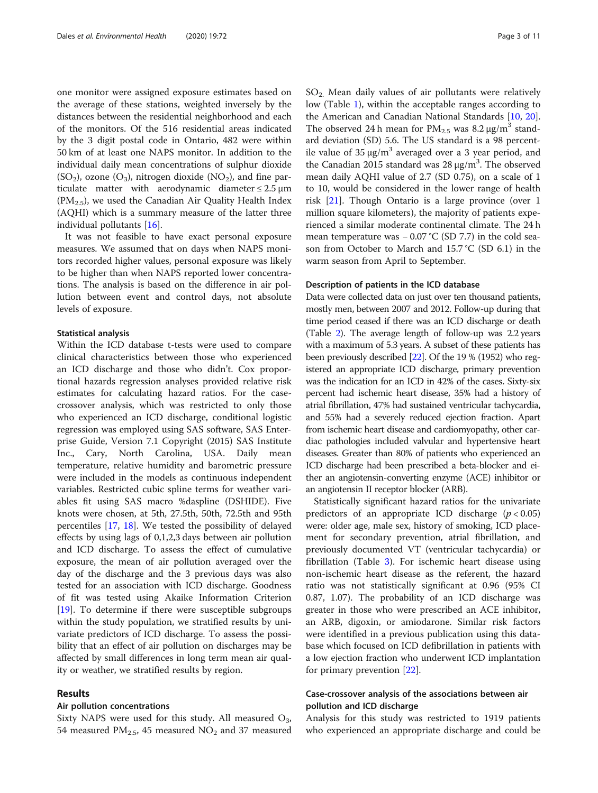one monitor were assigned exposure estimates based on the average of these stations, weighted inversely by the distances between the residential neighborhood and each of the monitors. Of the 516 residential areas indicated by the 3 digit postal code in Ontario, 482 were within 50 km of at least one NAPS monitor. In addition to the individual daily mean concentrations of sulphur dioxide  $(SO<sub>2</sub>)$ , ozone  $(O<sub>3</sub>)$ , nitrogen dioxide  $(NO<sub>2</sub>)$ , and fine particulate matter with aerodynamic diameter  $\leq 2.5 \,\mathrm{\mu m}$  $(PM<sub>2.5</sub>)$ , we used the Canadian Air Quality Health Index (AQHI) which is a summary measure of the latter three individual pollutants [[16\]](#page-9-0).

It was not feasible to have exact personal exposure measures. We assumed that on days when NAPS monitors recorded higher values, personal exposure was likely to be higher than when NAPS reported lower concentrations. The analysis is based on the difference in air pollution between event and control days, not absolute levels of exposure.

## Statistical analysis

Within the ICD database t-tests were used to compare clinical characteristics between those who experienced an ICD discharge and those who didn't. Cox proportional hazards regression analyses provided relative risk estimates for calculating hazard ratios. For the casecrossover analysis, which was restricted to only those who experienced an ICD discharge, conditional logistic regression was employed using SAS software, SAS Enterprise Guide, Version 7.1 Copyright (2015) SAS Institute Inc., Cary, North Carolina, USA. Daily mean temperature, relative humidity and barometric pressure were included in the models as continuous independent variables. Restricted cubic spline terms for weather variables fit using SAS macro %daspline (DSHIDE). Five knots were chosen, at 5th, 27.5th, 50th, 72.5th and 95th percentiles [\[17](#page-9-0), [18\]](#page-9-0). We tested the possibility of delayed effects by using lags of 0,1,2,3 days between air pollution and ICD discharge. To assess the effect of cumulative exposure, the mean of air pollution averaged over the day of the discharge and the 3 previous days was also tested for an association with ICD discharge. Goodness of fit was tested using Akaike Information Criterion [[19\]](#page-9-0). To determine if there were susceptible subgroups within the study population, we stratified results by univariate predictors of ICD discharge. To assess the possibility that an effect of air pollution on discharges may be affected by small differences in long term mean air quality or weather, we stratified results by region.

### Results

# Air pollution concentrations

Sixty NAPS were used for this study. All measured  $O_3$ , 54 measured  $PM_{2.5}$ , 45 measured  $NO_2$  and 37 measured  $SO<sub>2</sub>$ . Mean daily values of air pollutants were relatively low (Table [1](#page-3-0)), within the acceptable ranges according to the American and Canadian National Standards [\[10](#page-9-0), [20](#page-9-0)]. The observed 24 h mean for  $PM_{2.5}$  was 8.2  $\mu$ g/m<sup>3</sup> standard deviation (SD) 5.6. The US standard is a 98 percentile value of  $35 \mu g/m^3$  averaged over a 3 year period, and the Canadian 2015 standard was  $28 \mu g/m^3$ . The observed mean daily AQHI value of 2.7 (SD 0.75), on a scale of 1 to 10, would be considered in the lower range of health risk [[21\]](#page-9-0). Though Ontario is a large province (over 1 million square kilometers), the majority of patients experienced a similar moderate continental climate. The 24 h mean temperature was – 0.07 °C (SD 7.7) in the cold season from October to March and 15.7 °C (SD 6.1) in the warm season from April to September.

## Description of patients in the ICD database

Data were collected data on just over ten thousand patients, mostly men, between 2007 and 2012. Follow-up during that time period ceased if there was an ICD discharge or death (Table [2](#page-4-0)). The average length of follow-up was 2.2 years with a maximum of 5.3 years. A subset of these patients has been previously described [[22\]](#page-10-0). Of the 19 % (1952) who registered an appropriate ICD discharge, primary prevention was the indication for an ICD in 42% of the cases. Sixty-six percent had ischemic heart disease, 35% had a history of atrial fibrillation, 47% had sustained ventricular tachycardia, and 55% had a severely reduced ejection fraction. Apart from ischemic heart disease and cardiomyopathy, other cardiac pathologies included valvular and hypertensive heart diseases. Greater than 80% of patients who experienced an ICD discharge had been prescribed a beta-blocker and either an angiotensin-converting enzyme (ACE) inhibitor or an angiotensin II receptor blocker (ARB).

Statistically significant hazard ratios for the univariate predictors of an appropriate ICD discharge  $(p < 0.05)$ were: older age, male sex, history of smoking, ICD placement for secondary prevention, atrial fibrillation, and previously documented VT (ventricular tachycardia) or fibrillation (Table [3](#page-5-0)). For ischemic heart disease using non-ischemic heart disease as the referent, the hazard ratio was not statistically significant at 0.96 (95% CI 0.87, 1.07). The probability of an ICD discharge was greater in those who were prescribed an ACE inhibitor, an ARB, digoxin, or amiodarone. Similar risk factors were identified in a previous publication using this database which focused on ICD defibrillation in patients with a low ejection fraction who underwent ICD implantation for primary prevention [\[22](#page-10-0)].

# Case-crossover analysis of the associations between air pollution and ICD discharge

Analysis for this study was restricted to 1919 patients who experienced an appropriate discharge and could be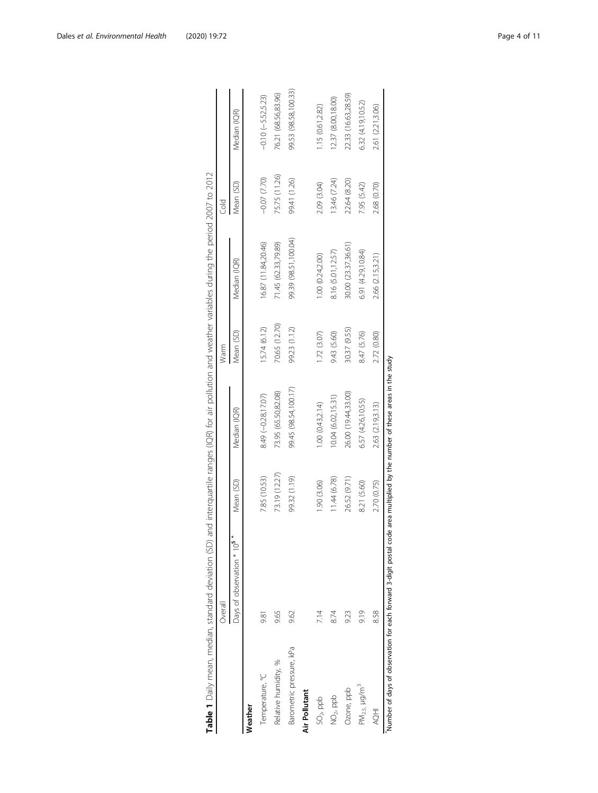<span id="page-3-0"></span>

| Table 1 Daily mean, median, standard deviation (SD) |                                                                                                                              |               |                      |               | and interquartile ranges (IQR) for air pollution and weather variables during the period 2007 to 2012 |                  |                       |
|-----------------------------------------------------|------------------------------------------------------------------------------------------------------------------------------|---------------|----------------------|---------------|-------------------------------------------------------------------------------------------------------|------------------|-----------------------|
|                                                     | Overall                                                                                                                      |               |                      | Warm          |                                                                                                       | Cold             |                       |
|                                                     | Days of observation * 105                                                                                                    | Mean (SD)     | Median (IQR)         | Mean (SD)     | Median (IQR)                                                                                          | Mean (SD)        | Median (IOR)          |
| Weather                                             |                                                                                                                              |               |                      |               |                                                                                                       |                  |                       |
| Temperature, °C                                     | 9.81                                                                                                                         | 7.85 (10.53)  | 8.49 (-0.28,17.07)   | 15.74 (6.12)  | 16.87 (11.84,20.46)                                                                                   | $-0.07$ $(7.70)$ | $-0.10 (-5.52, 5.23)$ |
| Relative humidity, %                                | 9.65                                                                                                                         | 73.19 (12.27) | 73.95 (65.50,82.08)  | 70.65 (12.70) | 71.45 (62.33,79.89)                                                                                   | 75.75 (11.26)    | 76.21 (68.56,83.96)   |
| Barometric pressure, kPa                            | 9.62                                                                                                                         | 99.32 (1.19)  | 99.45 (98.54,100.17) | 99.23 (1.12)  | 99.39 (98.51,100.04)                                                                                  | 99.41 (1.26)     | 99.53 (98.58,100.33)  |
| Air Pollutant                                       |                                                                                                                              |               |                      |               |                                                                                                       |                  |                       |
| $SO2$ , ppb                                         | 7.14                                                                                                                         | 1.90 (3.06)   | 1.00 (0.43,2.14)     | 1.72 (3.07)   | 1.00(0.24, 2.00)                                                                                      | 2.09 (3.04)      | 1.15 (0.61,2.82)      |
| NO <sub>2</sub> ppb                                 | 8.74                                                                                                                         | 11.44(6.78)   | 10.04 (6.02, 15.31)  | 9.43 (5.60)   | 8.16 (5.01,12.57)                                                                                     | 13.46 (7.24)     | 12.37 (8.00, 18.00)   |
| Ozone, ppb                                          | 9.23                                                                                                                         | 26.52 (9.71)  | 26.00 (19.44,33.00)  | 30.37 (9.55)  | 30.00 (23.37,36.61)                                                                                   | 22.64 (8.20)     | 22.33 (16.63,28.59)   |
| $PM_{2.5,}$ $\mu g/m^3$                             | 9.19                                                                                                                         | 8.21 (5.60)   | 6.57 (4.26,10.55)    | 8.47 (5.76)   | 6.91 (4.29,10.84)                                                                                     | 7.95 (5.42)      | 6.32 (4.19,10.52)     |
| <b>HOH</b>                                          | 8.58                                                                                                                         | 2.70 (0.75)   | 2.63 (2.19,3.13)     | 2.72 (0.80)   | 2.66 (2.15,3.21)                                                                                      | 2.68 (0.70)      | 2.61 (2.21,3.06)      |
|                                                     | Number of days of observation for each forward 3-digit postal code area multiplied by the number of these areas in the study |               |                      |               |                                                                                                       |                  |                       |

| Į<br>֚֚֡֡֡֡֡֡֡                                                                           |
|------------------------------------------------------------------------------------------|
|                                                                                          |
| Į                                                                                        |
|                                                                                          |
|                                                                                          |
| Į                                                                                        |
|                                                                                          |
| i                                                                                        |
| ֕                                                                                        |
| í                                                                                        |
|                                                                                          |
| ١                                                                                        |
| ١                                                                                        |
|                                                                                          |
| Ï<br>ł                                                                                   |
| ֖֖֚֚֚֚֚֚֚֚֚֚֚֚֚֬֝֝֝֝֝֝֝֝                                                                 |
| l                                                                                        |
|                                                                                          |
| ز                                                                                        |
| ١<br>ł                                                                                   |
| İ<br>֚֬<br>1                                                                             |
| ī<br>5                                                                                   |
|                                                                                          |
| ł<br>١                                                                                   |
|                                                                                          |
| l                                                                                        |
|                                                                                          |
|                                                                                          |
|                                                                                          |
| í                                                                                        |
|                                                                                          |
| l<br>$\overline{(\}$                                                                     |
|                                                                                          |
|                                                                                          |
| Ï                                                                                        |
| i<br>٢<br>j                                                                              |
| ī<br>5<br>$\overline{a}$                                                                 |
|                                                                                          |
|                                                                                          |
| ٢<br>֕<br>I.                                                                             |
| l                                                                                        |
|                                                                                          |
|                                                                                          |
|                                                                                          |
|                                                                                          |
| l<br>l<br>I                                                                              |
|                                                                                          |
|                                                                                          |
| ١                                                                                        |
| l                                                                                        |
| ١                                                                                        |
| J<br>í<br>ï<br>1                                                                         |
| ž                                                                                        |
| č<br>ے<br>ا                                                                              |
|                                                                                          |
| ֬֕֜֡                                                                                     |
| ֖֖֖֖֖֖֖֖֧ׅ֖֖֖֖֖֧֪֪֪֧֪֪֪֪֪֪֪֪֪֧֪ׅ֪֧ׅ֪֪֪֪֪֪֪֪֪֧֚֚֚֚֚֚֚֚֚֚֚֚֚֚֚֚֚֚֚֚֚֚֚֬֝֓֬֝֓֝֬֓֞֬֞<br>ׇ֬֘֕ |
|                                                                                          |
|                                                                                          |
| ֬֕֜֡<br>Ì                                                                                |
|                                                                                          |
|                                                                                          |
| I                                                                                        |
|                                                                                          |
|                                                                                          |
| ı                                                                                        |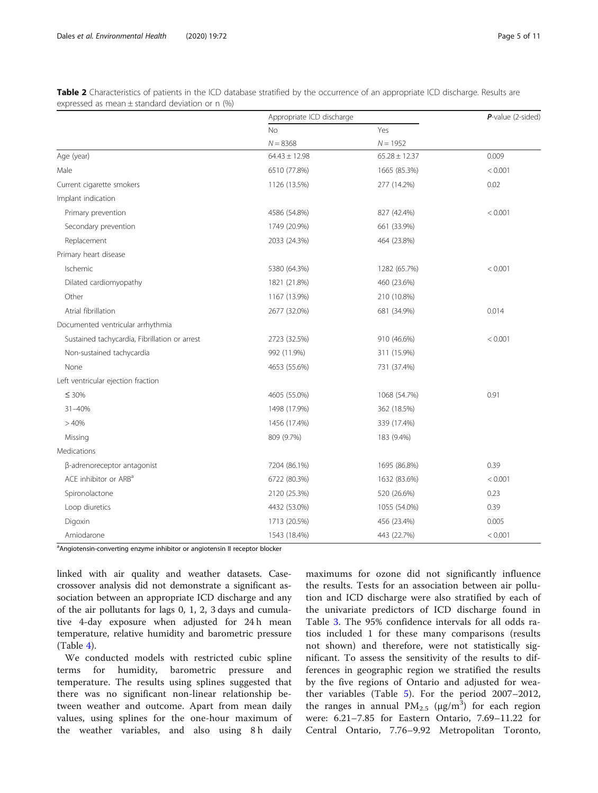|                                               | Appropriate ICD discharge |                   | $P$ -value (2-sided) |
|-----------------------------------------------|---------------------------|-------------------|----------------------|
|                                               | <b>No</b>                 | Yes               |                      |
|                                               | $N = 8368$                | $N = 1952$        |                      |
| Age (year)                                    | $64.43 \pm 12.98$         | $65.28 \pm 12.37$ | 0.009                |
| Male                                          | 6510 (77.8%)              | 1665 (85.3%)      | < 0.001              |
| Current cigarette smokers                     | 1126 (13.5%)              | 277 (14.2%)       | 0.02                 |
| Implant indication                            |                           |                   |                      |
| Primary prevention                            | 4586 (54.8%)              | 827 (42.4%)       | < 0.001              |
| Secondary prevention                          | 1749 (20.9%)              | 661 (33.9%)       |                      |
| Replacement                                   | 2033 (24.3%)              | 464 (23.8%)       |                      |
| Primary heart disease                         |                           |                   |                      |
| Ischemic                                      | 5380 (64.3%)              | 1282 (65.7%)      | < 0.001              |
| Dilated cardiomyopathy                        | 1821 (21.8%)              | 460 (23.6%)       |                      |
| Other                                         | 1167 (13.9%)              | 210 (10.8%)       |                      |
| Atrial fibrillation                           | 2677 (32.0%)              | 681 (34.9%)       | 0.014                |
| Documented ventricular arrhythmia             |                           |                   |                      |
| Sustained tachycardia, Fibrillation or arrest | 2723 (32.5%)              | 910 (46.6%)       | < 0.001              |
| Non-sustained tachycardia                     | 992 (11.9%)               | 311 (15.9%)       |                      |
| None                                          | 4653 (55.6%)              | 731 (37.4%)       |                      |
| Left ventricular ejection fraction            |                           |                   |                      |
| $\leq 30\%$                                   | 4605 (55.0%)              | 1068 (54.7%)      | 0.91                 |
| 31-40%                                        | 1498 (17.9%)              | 362 (18.5%)       |                      |
| >40%                                          | 1456 (17.4%)              | 339 (17.4%)       |                      |
| Missing                                       | 809 (9.7%)                | 183 (9.4%)        |                      |
| Medications                                   |                           |                   |                      |
| β-adrenoreceptor antagonist                   | 7204 (86.1%)              | 1695 (86.8%)      | 0.39                 |
| ACE inhibitor or ARB <sup>a</sup>             | 6722 (80.3%)              | 1632 (83.6%)      | < 0.001              |
| Spironolactone                                | 2120 (25.3%)              | 520 (26.6%)       | 0.23                 |
| Loop diuretics                                | 4432 (53.0%)              | 1055 (54.0%)      | 0.39                 |
| Digoxin                                       | 1713 (20.5%)              | 456 (23.4%)       | 0.005                |
| Amiodarone                                    | 1543 (18.4%)              | 443 (22.7%)       | < 0.001              |

<span id="page-4-0"></span>Table 2 Characteristics of patients in the ICD database stratified by the occurrence of an appropriate ICD discharge. Results are expressed as mean ± standard deviation or n (%)

<sup>a</sup>Angiotensin-converting enzyme inhibitor or angiotensin II receptor blocker

linked with air quality and weather datasets. Casecrossover analysis did not demonstrate a significant association between an appropriate ICD discharge and any of the air pollutants for lags 0, 1, 2, 3 days and cumulative 4-day exposure when adjusted for 24 h mean temperature, relative humidity and barometric pressure (Table [4\)](#page-6-0).

We conducted models with restricted cubic spline terms for humidity, barometric pressure and temperature. The results using splines suggested that there was no significant non-linear relationship between weather and outcome. Apart from mean daily values, using splines for the one-hour maximum of the weather variables, and also using 8h daily

maximums for ozone did not significantly influence the results. Tests for an association between air pollution and ICD discharge were also stratified by each of the univariate predictors of ICD discharge found in Table [3](#page-5-0). The 95% confidence intervals for all odds ratios included 1 for these many comparisons (results not shown) and therefore, were not statistically significant. To assess the sensitivity of the results to differences in geographic region we stratified the results by the five regions of Ontario and adjusted for weather variables (Table [5](#page-7-0)). For the period 2007–2012, the ranges in annual  $PM_{2.5}$  ( $\mu$ g/m<sup>3</sup>) for each region were: 6.21–7.85 for Eastern Ontario, 7.69–11.22 for Central Ontario, 7.76–9.92 Metropolitan Toronto,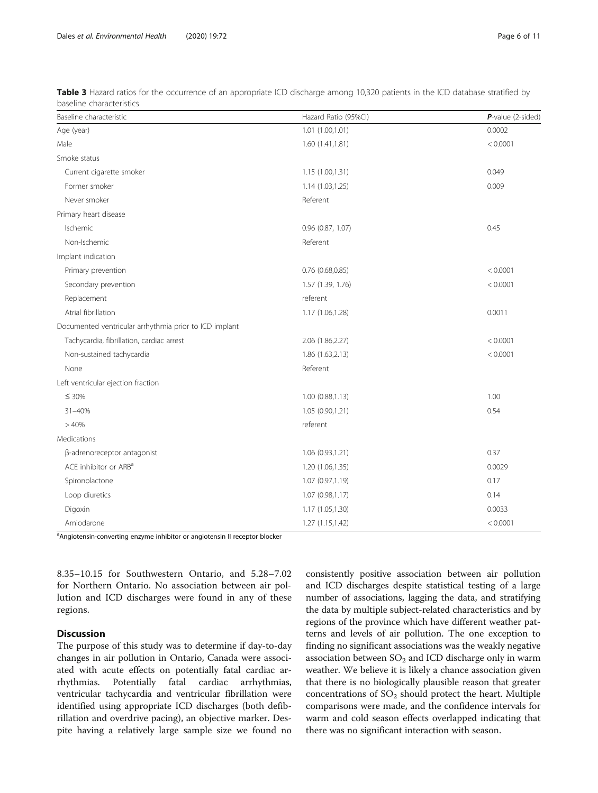| Baseline characteristic                                | Hazard Ratio (95%CI) | $P$ -value (2-sided) |
|--------------------------------------------------------|----------------------|----------------------|
| Age (year)                                             | 1.01 (1.00,1.01)     | 0.0002               |
| Male                                                   | 1.60(1.41, 1.81)     | < 0.0001             |
| Smoke status                                           |                      |                      |
| Current cigarette smoker                               | 1.15 (1.00,1.31)     | 0.049                |
| Former smoker                                          | 1.14 (1.03,1.25)     | 0.009                |
| Never smoker                                           | Referent             |                      |
| Primary heart disease                                  |                      |                      |
| Ischemic                                               | 0.96 (0.87, 1.07)    | 0.45                 |
| Non-Ischemic                                           | Referent             |                      |
| Implant indication                                     |                      |                      |
| Primary prevention                                     | $0.76$ (0.68,0.85)   | < 0.0001             |
| Secondary prevention                                   | 1.57 (1.39, 1.76)    | < 0.0001             |
| Replacement                                            | referent             |                      |
| Atrial fibrillation                                    | 1.17 (1.06,1.28)     | 0.0011               |
| Documented ventricular arrhythmia prior to ICD implant |                      |                      |
| Tachycardia, fibrillation, cardiac arrest              | 2.06 (1.86,2.27)     | < 0.0001             |
| Non-sustained tachycardia                              | 1.86 (1.63,2.13)     | < 0.0001             |
| None                                                   | Referent             |                      |
| Left ventricular ejection fraction                     |                      |                      |
| $\leq 30\%$                                            | 1.00 (0.88,1.13)     | 1.00                 |
| 31-40%                                                 | 1.05 (0.90,1.21)     | 0.54                 |
| >40%                                                   | referent             |                      |
| Medications                                            |                      |                      |
| β-adrenoreceptor antagonist                            | 1.06 (0.93,1.21)     | 0.37                 |
| ACE inhibitor or ARB <sup>a</sup>                      | 1.20 (1.06,1.35)     | 0.0029               |
| Spironolactone                                         | 1.07 (0.97,1.19)     | 0.17                 |
| Loop diuretics                                         | 1.07 (0.98,1.17)     | 0.14                 |
| Digoxin                                                | 1.17 (1.05,1.30)     | 0.0033               |
| Amiodarone                                             | 1.27 (1.15,1.42)     | < 0.0001             |
|                                                        |                      |                      |

<span id="page-5-0"></span>Table 3 Hazard ratios for the occurrence of an appropriate ICD discharge among 10,320 patients in the ICD database stratified by baseline characteristics

<sup>a</sup>Angiotensin-converting enzyme inhibitor or angiotensin II receptor blocker

8.35–10.15 for Southwestern Ontario, and 5.28–7.02 for Northern Ontario. No association between air pollution and ICD discharges were found in any of these regions.

# **Discussion**

The purpose of this study was to determine if day-to-day changes in air pollution in Ontario, Canada were associated with acute effects on potentially fatal cardiac arrhythmias. Potentially fatal cardiac arrhythmias, ventricular tachycardia and ventricular fibrillation were identified using appropriate ICD discharges (both defibrillation and overdrive pacing), an objective marker. Despite having a relatively large sample size we found no consistently positive association between air pollution and ICD discharges despite statistical testing of a large number of associations, lagging the data, and stratifying the data by multiple subject-related characteristics and by regions of the province which have different weather patterns and levels of air pollution. The one exception to finding no significant associations was the weakly negative association between  $SO<sub>2</sub>$  and ICD discharge only in warm weather. We believe it is likely a chance association given that there is no biologically plausible reason that greater concentrations of  $SO_2$  should protect the heart. Multiple comparisons were made, and the confidence intervals for warm and cold season effects overlapped indicating that there was no significant interaction with season.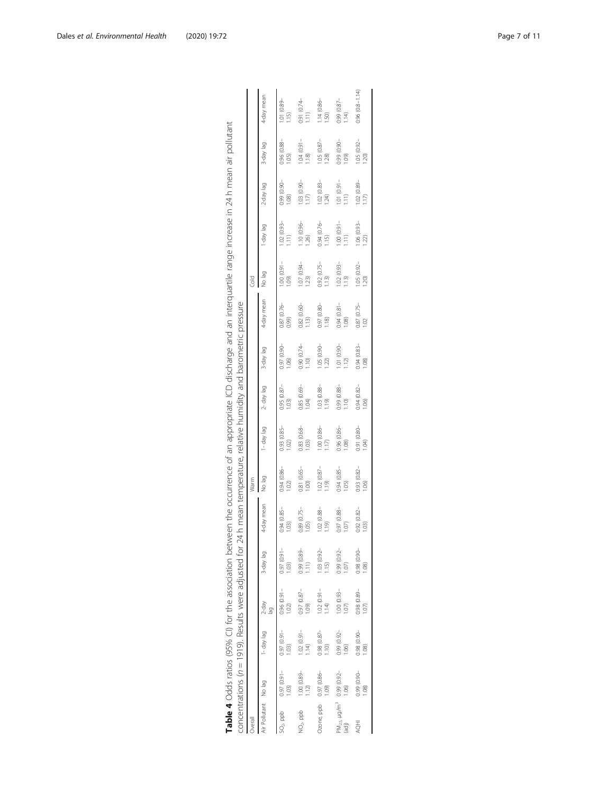<span id="page-6-0"></span>

|                                                                  |                            |                                                             |                                 |                                    | Table 4 Odds ratios (95% CI) for the association between the occurrence of an appropriate ICD discharge and an interquartile range increase in 24 h mean air pollutant |                                                               |                       |                       |                              |                          |                                                                             |                         |                                 |                      |                        |
|------------------------------------------------------------------|----------------------------|-------------------------------------------------------------|---------------------------------|------------------------------------|------------------------------------------------------------------------------------------------------------------------------------------------------------------------|---------------------------------------------------------------|-----------------------|-----------------------|------------------------------|--------------------------|-----------------------------------------------------------------------------|-------------------------|---------------------------------|----------------------|------------------------|
|                                                                  |                            | concentrations ( $n = 1919$ ). Results were adjusted for 24 |                                 |                                    |                                                                                                                                                                        | h mean temperature, relative humidity and barometric pressure |                       |                       |                              |                          |                                                                             |                         |                                 |                      |                        |
| Overal                                                           |                            |                                                             |                                 |                                    |                                                                                                                                                                        | Warm                                                          |                       |                       |                              |                          | Cold                                                                        |                         |                                 |                      |                        |
| Air Pollutant No lag                                             |                            | 1- day lag                                                  | $2-day$                         | 3-day lag                          | 4-day mean                                                                                                                                                             | No lag                                                        | l-day lag             | 2- day lag            | S-day lag                    | 4-day mean               | No lag                                                                      | bel /ep-l               | 2-day lag                       | 3-day lag            | 4-day mean             |
| $SO2$ ppb                                                        | $0.97(0.91 -$<br>(0.03)    | $-16.0$ ) $(6.0)$<br>1.03                                   | $0.96(0.91 -$<br>1.02           | 0.97 (0.91-<br>1.03)               | 0.94 (0.85-<br>1,03                                                                                                                                                    | 0.94 (0.86-<br>1.02                                           | 0.93 (0.85-<br>1.02   | 0.95 (0.87-<br>1.03)  | 0.97 (0.90<br>1.06           | 0.87 (0.76-<br>(660)     | 1000001<br>(0.01)                                                           | 1.02 (0.93-<br>111      | $-0.99$ (0.90<br>1.08           | 0.96 (0.88-<br>1.05) | 1.01 (0.89-<br>1.15    |
| $NO2$ ppb                                                        | 1.00 (0.89-<br>1.12        | $1.02(0.91 -$<br>1.14                                       | $0.97(0.87 -$<br>1.09           | 0.99 (0.89-<br>Ξ,                  | 0.89 (0.75-<br>1,05                                                                                                                                                    | 0.81 (0.65-<br>1.00                                           | 0.83 (0.68-<br>1.03   | $0.85(0.69 -$<br>1,04 | 0.90(0.74<br>1.10            | 0.82 (0.60-<br>1.13      | $1.07(0.94 -$<br>1.23                                                       | $1.10(0.96 -$<br>1.26)  | $-06.03$ 60.1<br>(17)           | 1,04 (0.91-<br>1.18  | 0.91 (0.74<br>1.11)    |
| Ozone, ppb                                                       | $0.97(0.86 -$<br>(60)      | $0.98(0.87 -$<br>$\frac{1}{2}$                              | $1.02(0.91 -$<br>1.14           | 1.03 (0.92-<br>$\overline{15}$     | 1.02 (0.88-<br>(119)                                                                                                                                                   | $1.02(0.87 -$<br>(61)                                         | $1.00(0.86 -$<br>1.17 | 1.03 (0.88-<br>(61)   | $-06(0.30 - 1)$<br>1.22      | 0.97 (0.80-<br>1.18      | $0.92(0.75 -$<br>1.13                                                       | $0.94(0.76 -$<br>115    | $1.02(0.83 -$<br>1.24           | 1.05 (0.87-<br>$28$  | $1.14(0.86 -$<br>1.50) |
| PM <sub>2.5, H</sub> g/m <sup>3</sup> 0.99 (0.92-<br>(ad)) 1.06) |                            | $0.99(0.92 -$<br>1.06)                                      | $1.00(0.93 -$<br>1,07           | $0.99(0.92 -$<br>$\overline{1.07}$ | 0.97 (0.88-<br>1,0.7                                                                                                                                                   | 0.94 (0.85-<br>1.05                                           | 0.96 (0.86-<br>1.08   | 0.99 (0.88-<br>1.10   | 1.01 (0.90<br>1.12           | $0.94(0.81 -$<br>1.08    | $\begin{array}{c} 1.02 & (0.93 - 1.13) \\ 1.13 & (0.93 - 1.13) \end{array}$ | $-1.00(0.91 -$<br>1.11) | 1.01 (0.91-<br>$\widehat{=}$    | 0.99 (0.90-<br>(60.1 | 0.99 (0.87-<br>1.14    |
| <b>HOH</b>                                                       | 0.99 (0.90-<br>$\circledS$ | 0.98 (0.90-<br>$\circledS$                                  | $0.98(0.89 -$<br>$\overline{5}$ | $-0.98(0.96 -$<br>$\circledS$      | 0.92 (0.82-<br>103                                                                                                                                                     | 0.93 (0.82-<br>0.06                                           | 0.91 (0.80-<br>1.04   | $0.94(0.82 -$<br>(06) | $0.94(0.83 -$<br>$\circledS$ | 0.87 (0.75-<br>$\approx$ | $1.05(0.92 -$<br>20                                                         | $1.06(0.93 -$<br>(22)   | 1.02 (0.89-<br>$\sum_{i=1}^{n}$ | 1.05 (0.92-<br>$20$  | $0.96(0.8 - 1.14)$     |
|                                                                  |                            |                                                             |                                 |                                    |                                                                                                                                                                        |                                                               |                       |                       |                              |                          |                                                                             |                         |                                 |                      |                        |

| $-1$<br>j                                                                                                              |                                                                          |
|------------------------------------------------------------------------------------------------------------------------|--------------------------------------------------------------------------|
|                                                                                                                        |                                                                          |
|                                                                                                                        |                                                                          |
|                                                                                                                        |                                                                          |
|                                                                                                                        | ラフリンニ                                                                    |
|                                                                                                                        |                                                                          |
| ation between the occurrence of an appropriate ICD discharge and an interquartile range increase in 24 h mean air pol' | -diusted for 24h mean temperature relative humidity and harometric proc- |
|                                                                                                                        |                                                                          |
|                                                                                                                        |                                                                          |
|                                                                                                                        |                                                                          |
|                                                                                                                        |                                                                          |
|                                                                                                                        |                                                                          |
|                                                                                                                        |                                                                          |
| こうこう こうこうこう                                                                                                            |                                                                          |
| Table 4 $O$ dds ratios (95% CI) for                                                                                    | incontrations (n — 1010) Racult                                          |
|                                                                                                                        |                                                                          |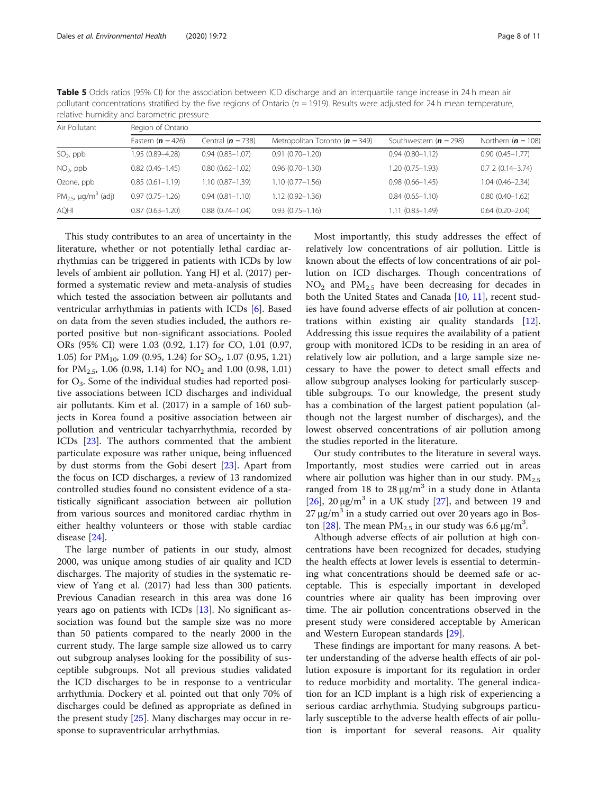| Air Pollutant                                    | Region of Ontario      |                     |                                    |                            |                      |  |  |
|--------------------------------------------------|------------------------|---------------------|------------------------------------|----------------------------|----------------------|--|--|
|                                                  | Eastern $(n = 426)$    | Central $(n = 738)$ | Metropolitan Toronto ( $n = 349$ ) | Southwestern ( $n = 298$ ) | Northern $(n = 108)$ |  |  |
| $SO2$ , ppb                                      | 1.95 (0.89-4.28)       | $0.94(0.83 - 1.07)$ | $0.91(0.70 - 1.20)$                | $0.94(0.80 - 1.12)$        | $0.90(0.45 - 1.77)$  |  |  |
| $NO2$ , ppb                                      | $0.82$ $(0.46 - 1.45)$ | $0.80(0.62 - 1.02)$ | $0.96(0.70 - 1.30)$                | $1.20(0.75 - 1.93)$        | $0.72(0.14 - 3.74)$  |  |  |
| Ozone, ppb                                       | $0.85(0.61 - 1.19)$    | $1.10(0.87 - 1.39)$ | $1.10(0.77 - 1.56)$                | $0.98(0.66 - 1.45)$        | $1.04(0.46 - 2.34)$  |  |  |
| PM <sub>2.5</sub> , $\mu$ g/m <sup>3</sup> (adj) | $0.97(0.75 - 1.26)$    | $0.94(0.81 - 1.10)$ | $1.12(0.92 - 1.36)$                | $0.84(0.65 - 1.10)$        | $0.80(0.40 - 1.62)$  |  |  |
| AQHI                                             | $0.87(0.63 - 1.20)$    | $0.88(0.74 - 1.04)$ | $0.93(0.75 - 1.16)$                | $1.11(0.83 - 1.49)$        | $0.64(0.20 - 2.04)$  |  |  |

<span id="page-7-0"></span>Table 5 Odds ratios (95% CI) for the association between ICD discharge and an interquartile range increase in 24 h mean air pollutant concentrations stratified by the five regions of Ontario ( $n = 1919$ ). Results were adjusted for 24 h mean temperature, relative humidity and barometric pressure

This study contributes to an area of uncertainty in the literature, whether or not potentially lethal cardiac arrhythmias can be triggered in patients with ICDs by low levels of ambient air pollution. Yang HJ et al. (2017) performed a systematic review and meta-analysis of studies which tested the association between air pollutants and ventricular arrhythmias in patients with ICDs [\[6](#page-9-0)]. Based on data from the seven studies included, the authors reported positive but non-significant associations. Pooled ORs (95% CI) were 1.03 (0.92, 1.17) for CO, 1.01 (0.97, 1.05) for  $PM_{10}$ , 1.09 (0.95, 1.24) for SO<sub>2</sub>, 1.07 (0.95, 1.21) for  $PM_{2.5}$ , 1.06 (0.98, 1.14) for  $NO_2$  and 1.00 (0.98, 1.01) for  $O_3$ . Some of the individual studies had reported positive associations between ICD discharges and individual air pollutants. Kim et al. (2017) in a sample of 160 subjects in Korea found a positive association between air pollution and ventricular tachyarrhythmia, recorded by ICDs [[23\]](#page-10-0). The authors commented that the ambient particulate exposure was rather unique, being influenced by dust storms from the Gobi desert [\[23](#page-10-0)]. Apart from the focus on ICD discharges, a review of 13 randomized controlled studies found no consistent evidence of a statistically significant association between air pollution from various sources and monitored cardiac rhythm in either healthy volunteers or those with stable cardiac disease [\[24](#page-10-0)].

The large number of patients in our study, almost 2000, was unique among studies of air quality and ICD discharges. The majority of studies in the systematic review of Yang et al. (2017) had less than 300 patients. Previous Canadian research in this area was done 16 years ago on patients with ICDs [\[13](#page-9-0)]. No significant association was found but the sample size was no more than 50 patients compared to the nearly 2000 in the current study. The large sample size allowed us to carry out subgroup analyses looking for the possibility of susceptible subgroups. Not all previous studies validated the ICD discharges to be in response to a ventricular arrhythmia. Dockery et al. pointed out that only 70% of discharges could be defined as appropriate as defined in the present study [\[25](#page-10-0)]. Many discharges may occur in response to supraventricular arrhythmias.

Most importantly, this study addresses the effect of relatively low concentrations of air pollution. Little is known about the effects of low concentrations of air pollution on ICD discharges. Though concentrations of  $NO<sub>2</sub>$  and  $PM<sub>2.5</sub>$  have been decreasing for decades in both the United States and Canada [[10](#page-9-0), [11](#page-9-0)], recent studies have found adverse effects of air pollution at concentrations within existing air quality standards [\[12](#page-9-0)]. Addressing this issue requires the availability of a patient group with monitored ICDs to be residing in an area of relatively low air pollution, and a large sample size necessary to have the power to detect small effects and allow subgroup analyses looking for particularly susceptible subgroups. To our knowledge, the present study has a combination of the largest patient population (although not the largest number of discharges), and the lowest observed concentrations of air pollution among the studies reported in the literature.

Our study contributes to the literature in several ways. Importantly, most studies were carried out in areas where air pollution was higher than in our study.  $PM_{2.5}$ ranged from 18 to  $28 \mu g/m^3$  in a study done in Atlanta [ $26$ ],  $20 \mu$ g/m<sup>3</sup> in a UK study [ $27$ ], and between 19 and 27 μg/m<sup>3</sup> in a study carried out over 20 years ago in Bos-ton [[28](#page-10-0)]. The mean  $PM_{2.5}$  in our study was 6.6 μg/m<sup>3</sup>.

Although adverse effects of air pollution at high concentrations have been recognized for decades, studying the health effects at lower levels is essential to determining what concentrations should be deemed safe or acceptable. This is especially important in developed countries where air quality has been improving over time. The air pollution concentrations observed in the present study were considered acceptable by American and Western European standards [[29](#page-10-0)].

These findings are important for many reasons. A better understanding of the adverse health effects of air pollution exposure is important for its regulation in order to reduce morbidity and mortality. The general indication for an ICD implant is a high risk of experiencing a serious cardiac arrhythmia. Studying subgroups particularly susceptible to the adverse health effects of air pollution is important for several reasons. Air quality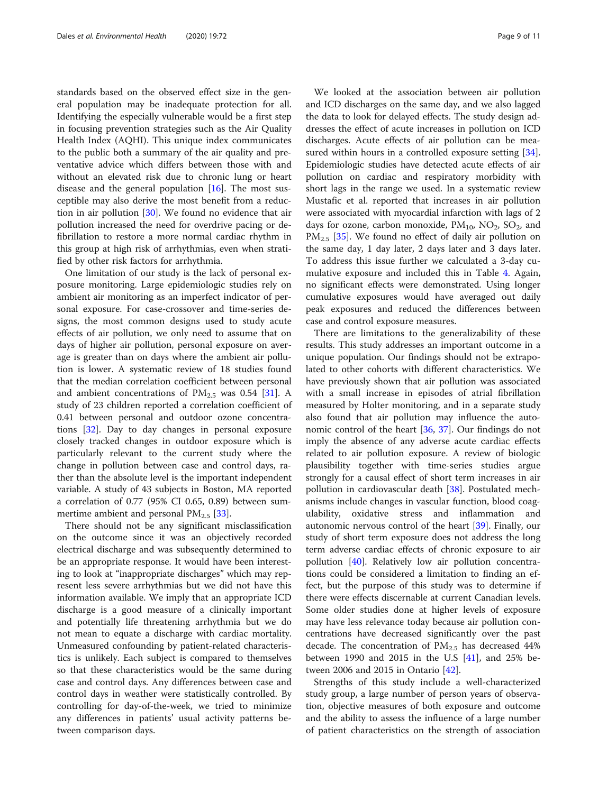standards based on the observed effect size in the general population may be inadequate protection for all. Identifying the especially vulnerable would be a first step in focusing prevention strategies such as the Air Quality Health Index (AQHI). This unique index communicates to the public both a summary of the air quality and preventative advice which differs between those with and without an elevated risk due to chronic lung or heart disease and the general population  $[16]$  $[16]$ . The most susceptible may also derive the most benefit from a reduction in air pollution [[30\]](#page-10-0). We found no evidence that air pollution increased the need for overdrive pacing or defibrillation to restore a more normal cardiac rhythm in this group at high risk of arrhythmias, even when stratified by other risk factors for arrhythmia.

One limitation of our study is the lack of personal exposure monitoring. Large epidemiologic studies rely on ambient air monitoring as an imperfect indicator of personal exposure. For case-crossover and time-series designs, the most common designs used to study acute effects of air pollution, we only need to assume that on days of higher air pollution, personal exposure on average is greater than on days where the ambient air pollution is lower. A systematic review of 18 studies found that the median correlation coefficient between personal and ambient concentrations of  $PM_{2.5}$  was 0.54 [[31\]](#page-10-0). A study of 23 children reported a correlation coefficient of 0.41 between personal and outdoor ozone concentrations [[32](#page-10-0)]. Day to day changes in personal exposure closely tracked changes in outdoor exposure which is particularly relevant to the current study where the change in pollution between case and control days, rather than the absolute level is the important independent variable. A study of 43 subjects in Boston, MA reported a correlation of 0.77 (95% CI 0.65, 0.89) between summertime ambient and personal  $PM_{2.5}$  [[33](#page-10-0)].

There should not be any significant misclassification on the outcome since it was an objectively recorded electrical discharge and was subsequently determined to be an appropriate response. It would have been interesting to look at "inappropriate discharges" which may represent less severe arrhythmias but we did not have this information available. We imply that an appropriate ICD discharge is a good measure of a clinically important and potentially life threatening arrhythmia but we do not mean to equate a discharge with cardiac mortality. Unmeasured confounding by patient-related characteristics is unlikely. Each subject is compared to themselves so that these characteristics would be the same during case and control days. Any differences between case and control days in weather were statistically controlled. By controlling for day-of-the-week, we tried to minimize any differences in patients' usual activity patterns between comparison days.

We looked at the association between air pollution and ICD discharges on the same day, and we also lagged the data to look for delayed effects. The study design addresses the effect of acute increases in pollution on ICD discharges. Acute effects of air pollution can be mea-sured within hours in a controlled exposure setting [\[34](#page-10-0)]. Epidemiologic studies have detected acute effects of air pollution on cardiac and respiratory morbidity with short lags in the range we used. In a systematic review Mustafic et al. reported that increases in air pollution were associated with myocardial infarction with lags of 2 days for ozone, carbon monoxide,  $PM_{10}$ ,  $NO_2$ ,  $SO_2$ , and  $PM_{2.5}$  [\[35\]](#page-10-0). We found no effect of daily air pollution on the same day, 1 day later, 2 days later and 3 days later. To address this issue further we calculated a 3-day cumulative exposure and included this in Table [4](#page-6-0). Again, no significant effects were demonstrated. Using longer cumulative exposures would have averaged out daily peak exposures and reduced the differences between case and control exposure measures.

There are limitations to the generalizability of these results. This study addresses an important outcome in a unique population. Our findings should not be extrapolated to other cohorts with different characteristics. We have previously shown that air pollution was associated with a small increase in episodes of atrial fibrillation measured by Holter monitoring, and in a separate study also found that air pollution may influence the autonomic control of the heart [[36](#page-10-0), [37\]](#page-10-0). Our findings do not imply the absence of any adverse acute cardiac effects related to air pollution exposure. A review of biologic plausibility together with time-series studies argue strongly for a causal effect of short term increases in air pollution in cardiovascular death [[38\]](#page-10-0). Postulated mechanisms include changes in vascular function, blood coagulability, oxidative stress and inflammation and autonomic nervous control of the heart [[39\]](#page-10-0). Finally, our study of short term exposure does not address the long term adverse cardiac effects of chronic exposure to air pollution [\[40](#page-10-0)]. Relatively low air pollution concentrations could be considered a limitation to finding an effect, but the purpose of this study was to determine if there were effects discernable at current Canadian levels. Some older studies done at higher levels of exposure may have less relevance today because air pollution concentrations have decreased significantly over the past decade. The concentration of PM<sub>2.5</sub> has decreased 44% between 1990 and 2015 in the U.S  $[41]$  $[41]$ , and 25% between 2006 and 2015 in Ontario [\[42\]](#page-10-0).

Strengths of this study include a well-characterized study group, a large number of person years of observation, objective measures of both exposure and outcome and the ability to assess the influence of a large number of patient characteristics on the strength of association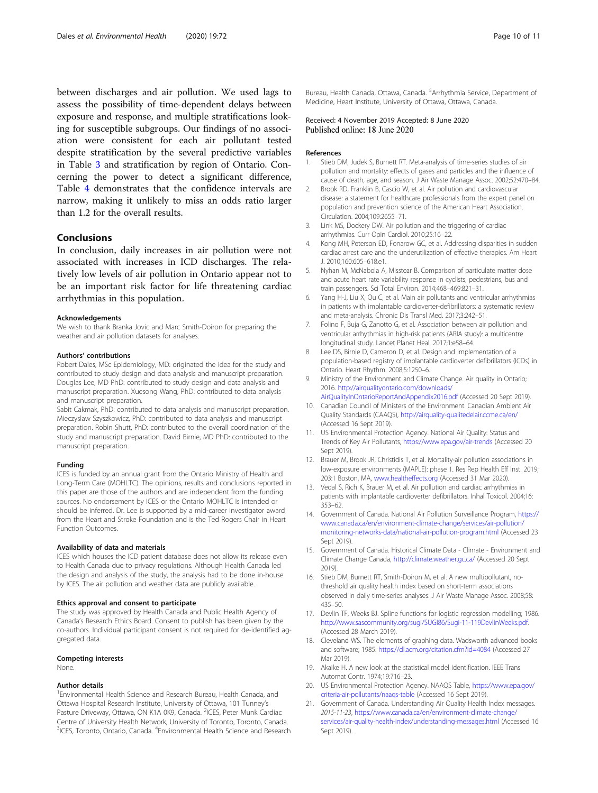<span id="page-9-0"></span>between discharges and air pollution. We used lags to assess the possibility of time-dependent delays between exposure and response, and multiple stratifications looking for susceptible subgroups. Our findings of no association were consistent for each air pollutant tested despite stratification by the several predictive variables in Table [3](#page-5-0) and stratification by region of Ontario. Concerning the power to detect a significant difference, Table [4](#page-6-0) demonstrates that the confidence intervals are narrow, making it unlikely to miss an odds ratio larger than 1.2 for the overall results.

# Conclusions

In conclusion, daily increases in air pollution were not associated with increases in ICD discharges. The relatively low levels of air pollution in Ontario appear not to be an important risk factor for life threatening cardiac arrhythmias in this population.

#### Acknowledgements

We wish to thank Branka Jovic and Marc Smith-Doiron for preparing the weather and air pollution datasets for analyses.

#### Authors' contributions

Robert Dales, MSc Epidemiology, MD: originated the idea for the study and contributed to study design and data analysis and manuscript preparation. Douglas Lee, MD PhD: contributed to study design and data analysis and manuscript preparation. Xuesong Wang, PhD: contributed to data analysis and manuscript preparation.

Sabit Cakmak, PhD: contributed to data analysis and manuscript preparation. Mieczyslaw Szyszkowicz, PhD: contributed to data analysis and manuscript preparation. Robin Shutt, PhD: contributed to the overall coordination of the study and manuscript preparation. David Birnie, MD PhD: contributed to the manuscript preparation.

#### Funding

ICES is funded by an annual grant from the Ontario Ministry of Health and Long-Term Care (MOHLTC). The opinions, results and conclusions reported in this paper are those of the authors and are independent from the funding sources. No endorsement by ICES or the Ontario MOHLTC is intended or should be inferred. Dr. Lee is supported by a mid-career investigator award from the Heart and Stroke Foundation and is the Ted Rogers Chair in Heart Function Outcomes.

#### Availability of data and materials

ICES which houses the ICD patient database does not allow its release even to Health Canada due to privacy regulations. Although Health Canada led the design and analysis of the study, the analysis had to be done in-house by ICES. The air pollution and weather data are publicly available.

#### Ethics approval and consent to participate

The study was approved by Health Canada and Public Health Agency of Canada's Research Ethics Board. Consent to publish has been given by the co-authors. Individual participant consent is not required for de-identified aggregated data.

#### Competing interests

None.

#### Author details

<sup>1</sup> Environmental Health Science and Research Bureau, Health Canada, and Ottawa Hospital Research Institute, University of Ottawa, 101 Tunney's Pasture Driveway, Ottawa, ON K1A 0K9, Canada. <sup>2</sup>ICES, Peter Munk Cardiac Centre of University Health Network, University of Toronto, Toronto, Canada. <sup>3</sup>ICES, Toronto, Ontario, Canada. <sup>4</sup>Environmental Health Science and Research

Bureau, Health Canada, Ottawa, Canada. <sup>5</sup>Arrhythmia Service, Department of Medicine, Heart Institute, University of Ottawa, Ottawa, Canada.

### Received: 4 November 2019 Accepted: 8 June 2020 Published online: 18 June 2020

#### References

- 1. Stieb DM, Judek S, Burnett RT. Meta-analysis of time-series studies of air pollution and mortality: effects of gases and particles and the influence of cause of death, age, and season. J Air Waste Manage Assoc. 2002;52:470–84.
- 2. Brook RD, Franklin B, Cascio W, et al. Air pollution and cardiovascular disease: a statement for healthcare professionals from the expert panel on population and prevention science of the American Heart Association. Circulation. 2004;109:2655–71.
- 3. Link MS, Dockery DW. Air pollution and the triggering of cardiac arrhythmias. Curr Opin Cardiol. 2010;25:16–22.
- 4. Kong MH, Peterson ED, Fonarow GC, et al. Addressing disparities in sudden cardiac arrest care and the underutilization of effective therapies. Am Heart J. 2010;160:605–618.e1.
- 5. Nyhan M, McNabola A, Misstear B. Comparison of particulate matter dose and acute heart rate variability response in cyclists, pedestrians, bus and train passengers. Sci Total Environ. 2014;468–469:821–31.
- 6. Yang H-J, Liu X, Qu C, et al. Main air pollutants and ventricular arrhythmias in patients with implantable cardioverter-defibrillators: a systematic review and meta-analysis. Chronic Dis Transl Med. 2017;3:242–51.
- 7. Folino F, Buja G, Zanotto G, et al. Association between air pollution and ventricular arrhythmias in high-risk patients (ARIA study): a multicentre longitudinal study. Lancet Planet Heal. 2017;1:e58–64.
- Lee DS, Birnie D, Cameron D, et al. Design and implementation of a population-based registry of implantable cardioverter defibrillators (ICDs) in Ontario. Heart Rhythm. 2008;5:1250–6.
- 9. Ministry of the Environment and Climate Change. Air quality in Ontario; 2016. [http://airqualityontario.com/downloads/](http://airqualityontario.com/downloads/AirQualityInOntarioReportAndAppendix2016.pdf) [AirQualityInOntarioReportAndAppendix2016.pdf](http://airqualityontario.com/downloads/AirQualityInOntarioReportAndAppendix2016.pdf) (Accessed 20 Sept 2019).
- 10. Canadian Council of Ministers of the Environment. Canadian Ambient Air Quality Standards (CAAQS), <http://airquality-qualitedelair.ccme.ca/en/> (Accessed 16 Sept 2019).
- 11. US Environmental Protection Agency. National Air Quality: Status and Trends of Key Air Pollutants, <https://www.epa.gov/air-trends> (Accessed 20 Sept 2019).
- 12. Brauer M, Brook JR, Christidis T, et al. Mortality-air pollution associations in low-exposure environments (MAPLE): phase 1. Res Rep Health Eff Inst. 2019; 203:1 Boston, MA, [www.healtheffects.org](http://www.healtheffects.org) (Accessed 31 Mar 2020).
- 13. Vedal S, Rich K, Brauer M, et al. Air pollution and cardiac arrhythmias in patients with implantable cardioverter defibrillators. Inhal Toxicol. 2004;16: 353–62.
- 14. Government of Canada. National Air Pollution Surveillance Program, [https://](https://www.canada.ca/en/environment-climate-change/services/air-pollution/monitoring-networks-data/national-air-pollution-program.html) [www.canada.ca/en/environment-climate-change/services/air-pollution/](https://www.canada.ca/en/environment-climate-change/services/air-pollution/monitoring-networks-data/national-air-pollution-program.html) [monitoring-networks-data/national-air-pollution-program.html](https://www.canada.ca/en/environment-climate-change/services/air-pollution/monitoring-networks-data/national-air-pollution-program.html) (Accessed 23 Sept 2019).
- 15. Government of Canada. Historical Climate Data Climate Environment and Climate Change Canada, <http://climate.weather.gc.ca/> (Accessed 20 Sept 2019).
- 16. Stieb DM, Burnett RT, Smith-Doiron M, et al. A new multipollutant, nothreshold air quality health index based on short-term associations observed in daily time-series analyses. J Air Waste Manage Assoc. 2008;58: 435–50.
- 17. Devlin TF, Weeks BJ. Spline functions for logistic regression modelling; 1986. <http://www.sascommunity.org/sugi/SUGI86/Sugi-11-119DevlinWeeks.pdf>. (Accessed 28 March 2019).
- 18. Cleveland WS. The elements of graphing data. Wadsworth advanced books and software; 1985. <https://dl.acm.org/citation.cfm?id=4084> (Accessed 27 Mar 2019)
- 19. Akaike H. A new look at the statistical model identification. IEEE Trans Automat Contr. 1974;19:716–23.
- 20. US Environmental Protection Agency. NAAQS Table, [https://www.epa.gov/](https://www.epa.gov/criteria-air-pollutants/naaqs-table) [criteria-air-pollutants/naaqs-table](https://www.epa.gov/criteria-air-pollutants/naaqs-table) (Accessed 16 Sept 2019).
- 21. Government of Canada. Understanding Air Quality Health Index messages. 2015-11-23, [https://www.canada.ca/en/environment-climate-change/](https://www.canada.ca/en/environment-climate-change/services/air-quality-health-index/understanding-messages.html) [services/air-quality-health-index/understanding-messages.html](https://www.canada.ca/en/environment-climate-change/services/air-quality-health-index/understanding-messages.html) (Accessed 16 Sept 2019).